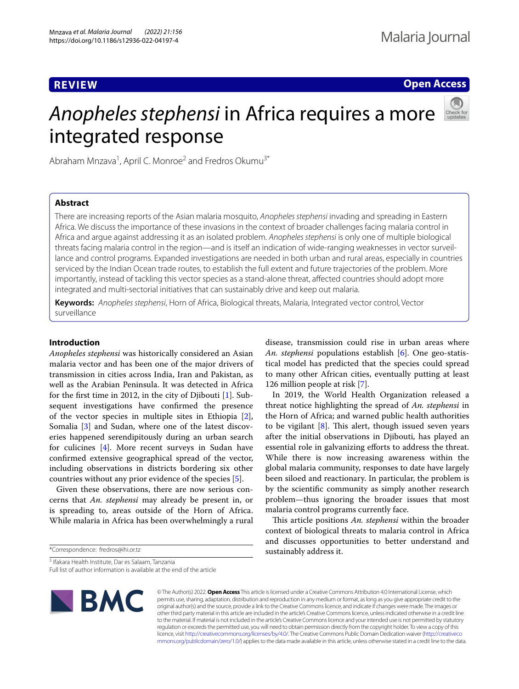# **REVIEW**

**Open Access**

# *Anopheles stephensi* in Africa requires a more integrated response



Abraham Mnzava<sup>1</sup>, April C. Monroe<sup>2</sup> and Fredros Okumu<sup>3\*</sup>

# **Abstract**

There are increasing reports of the Asian malaria mosquito, *Anopheles stephensi* invading and spreading in Eastern Africa. We discuss the importance of these invasions in the context of broader challenges facing malaria control in Africa and argue against addressing it as an isolated problem. *Anopheles stephensi* is only one of multiple biological threats facing malaria control in the region—and is itself an indication of wide-ranging weaknesses in vector surveillance and control programs. Expanded investigations are needed in both urban and rural areas, especially in countries serviced by the Indian Ocean trade routes, to establish the full extent and future trajectories of the problem. More importantly, instead of tackling this vector species as a stand-alone threat, afected countries should adopt more integrated and multi-sectorial initiatives that can sustainably drive and keep out malaria.

**Keywords:** *Anopheles stephensi*, Horn of Africa, Biological threats, Malaria, Integrated vector control, Vector surveillance

## **Introduction**

*Anopheles stephensi* was historically considered an Asian malaria vector and has been one of the major drivers of transmission in cities across India, Iran and Pakistan, as well as the Arabian Peninsula. It was detected in Africa for the frst time in 2012, in the city of Djibouti [\[1](#page-4-0)]. Subsequent investigations have confrmed the presence of the vector species in multiple sites in Ethiopia [\[2](#page-4-1)], Somalia [\[3](#page-4-2)] and Sudan, where one of the latest discoveries happened serendipitously during an urban search for culicines [[4\]](#page-4-3). More recent surveys in Sudan have confrmed extensive geographical spread of the vector, including observations in districts bordering six other countries without any prior evidence of the species [[5\]](#page-4-4).

Given these observations, there are now serious concerns that *An. stephensi* may already be present in, or is spreading to, areas outside of the Horn of Africa. While malaria in Africa has been overwhelmingly a rural

\*Correspondence: fredros@ihi.or.tz

disease, transmission could rise in urban areas where *An. stephensi* populations establish [\[6](#page-4-5)]. One geo-statistical model has predicted that the species could spread to many other African cities, eventually putting at least 126 million people at risk [[7\]](#page-4-6).

In 2019, the World Health Organization released a threat notice highlighting the spread of *An. stephensi* in the Horn of Africa; and warned public health authorities to be vigilant  $[8]$  $[8]$ . This alert, though issued seven years after the initial observations in Djibouti, has played an essential role in galvanizing eforts to address the threat. While there is now increasing awareness within the global malaria community, responses to date have largely been siloed and reactionary. In particular, the problem is by the scientifc community as simply another research problem—thus ignoring the broader issues that most malaria control programs currently face.

This article positions *An. stephensi* within the broader context of biological threats to malaria control in Africa and discusses opportunities to better understand and sustainably address it.

3 Ifakara Health Institute, Dar es Salaam, Tanzania Full list of author information is available at the end of the article



© The Author(s) 2022. **Open Access** This article is licensed under a Creative Commons Attribution 4.0 International License, which permits use, sharing, adaptation, distribution and reproduction in any medium or format, as long as you give appropriate credit to the original author(s) and the source, provide a link to the Creative Commons licence, and indicate if changes were made. The images or other third party material in this article are included in the article's Creative Commons licence, unless indicated otherwise in a credit line to the material. If material is not included in the article's Creative Commons licence and your intended use is not permitted by statutory regulation or exceeds the permitted use, you will need to obtain permission directly from the copyright holder. To view a copy of this licence, visit [http://creativecommons.org/licenses/by/4.0/.](http://creativecommons.org/licenses/by/4.0/) The Creative Commons Public Domain Dedication waiver ([http://creativeco](http://creativecommons.org/publicdomain/zero/1.0/) [mmons.org/publicdomain/zero/1.0/](http://creativecommons.org/publicdomain/zero/1.0/)) applies to the data made available in this article, unless otherwise stated in a credit line to the data.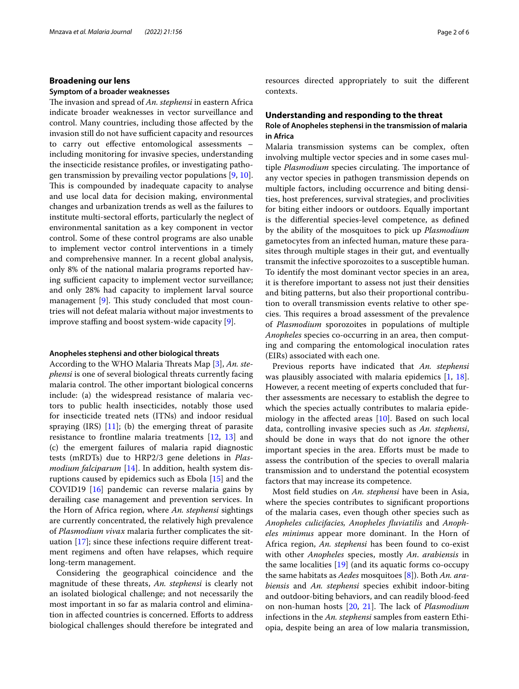## **Broadening our lens**

## **Symptom of a broader weaknesses**

The invasion and spread of *An. stephensi* in eastern Africa indicate broader weaknesses in vector surveillance and control. Many countries, including those afected by the invasion still do not have sufficient capacity and resources to carry out efective entomological assessments – including monitoring for invasive species, understanding the insecticide resistance profles, or investigating pathogen transmission by prevailing vector populations [[9,](#page-4-8) [10](#page-4-9)]. This is compounded by inadequate capacity to analyse and use local data for decision making, environmental changes and urbanization trends as well as the failures to institute multi-sectoral efforts, particularly the neglect of environmental sanitation as a key component in vector control. Some of these control programs are also unable to implement vector control interventions in a timely and comprehensive manner. In a recent global analysis, only 8% of the national malaria programs reported having sufficient capacity to implement vector surveillance; and only 28% had capacity to implement larval source management  $[9]$  $[9]$ . This study concluded that most countries will not defeat malaria without major investments to improve staffing and boost system-wide capacity  $[9]$  $[9]$ .

## **Anopheles stephensi and other biological threats**

According to the WHO Malaria Threats Map [\[3](#page-4-2)], *An. stephensi* is one of several biological threats currently facing malaria control. The other important biological concerns include: (a) the widespread resistance of malaria vectors to public health insecticides, notably those used for insecticide treated nets (ITNs) and indoor residual spraying  $(IRS)$   $[11]$  $[11]$ ; (b) the emerging threat of parasite resistance to frontline malaria treatments [\[12](#page-4-11), [13\]](#page-4-12) and (c) the emergent failures of malaria rapid diagnostic tests (mRDTs) due to HRP2/3 gene deletions in *Plasmodium falciparum* [\[14](#page-4-13)]. In addition, health system disruptions caused by epidemics such as Ebola [[15](#page-5-0)] and the COVID19 [[16\]](#page-5-1) pandemic can reverse malaria gains by derailing case management and prevention services. In the Horn of Africa region, where *An. stephensi* sightings are currently concentrated, the relatively high prevalence of *Plasmodium vivax* malaria further complicates the situation [[17\]](#page-5-2); since these infections require diferent treatment regimens and often have relapses, which require long-term management.

Considering the geographical coincidence and the magnitude of these threats, *An. stephensi* is clearly not an isolated biological challenge; and not necessarily the most important in so far as malaria control and elimination in afected countries is concerned. Eforts to address biological challenges should therefore be integrated and resources directed appropriately to suit the diferent contexts.

## **Understanding and responding to the threat**

## **Role of Anopheles stephensi in the transmission of malaria in Africa**

Malaria transmission systems can be complex, often involving multiple vector species and in some cases multiple *Plasmodium* species circulating. The importance of any vector species in pathogen transmission depends on multiple factors, including occurrence and biting densities, host preferences, survival strategies, and proclivities for biting either indoors or outdoors. Equally important is the diferential species-level competence, as defned by the ability of the mosquitoes to pick up *Plasmodium* gametocytes from an infected human, mature these parasites through multiple stages in their gut, and eventually transmit the infective sporozoites to a susceptible human. To identify the most dominant vector species in an area, it is therefore important to assess not just their densities and biting patterns, but also their proportional contribution to overall transmission events relative to other species. This requires a broad assessment of the prevalence of *Plasmodium* sporozoites in populations of multiple *Anopheles* species co-occurring in an area, then computing and comparing the entomological inoculation rates (EIRs) associated with each one.

Previous reports have indicated that *An. stephensi* was plausibly associated with malaria epidemics [[1,](#page-4-0) [18](#page-5-3)]. However, a recent meeting of experts concluded that further assessments are necessary to establish the degree to which the species actually contributes to malaria epidemiology in the afected areas [[10\]](#page-4-9). Based on such local data, controlling invasive species such as *An. stephensi*, should be done in ways that do not ignore the other important species in the area. Eforts must be made to assess the contribution of the species to overall malaria transmission and to understand the potential ecosystem factors that may increase its competence.

Most feld studies on *An. stephensi* have been in Asia, where the species contributes to signifcant proportions of the malaria cases, even though other species such as *Anopheles culicifacies, Anopheles fuviatilis* and *Anopheles minimus* appear more dominant. In the Horn of Africa region, *An. stephensi* has been found to co-exist with other *Anopheles* species, mostly *An*. *arabiensis* in the same localities [[19\]](#page-5-4) (and its aquatic forms co-occupy the same habitats as *Aedes* mosquitoes [[8\]](#page-4-7)). Both *An. arabiensis* and *An. stephensi* species exhibit indoor-biting and outdoor-biting behaviors, and can readily blood-feed on non-human hosts [\[20](#page-5-5), [21](#page-5-6)]. The lack of *Plasmodium* infections in the *An. stephensi* samples from eastern Ethiopia, despite being an area of low malaria transmission,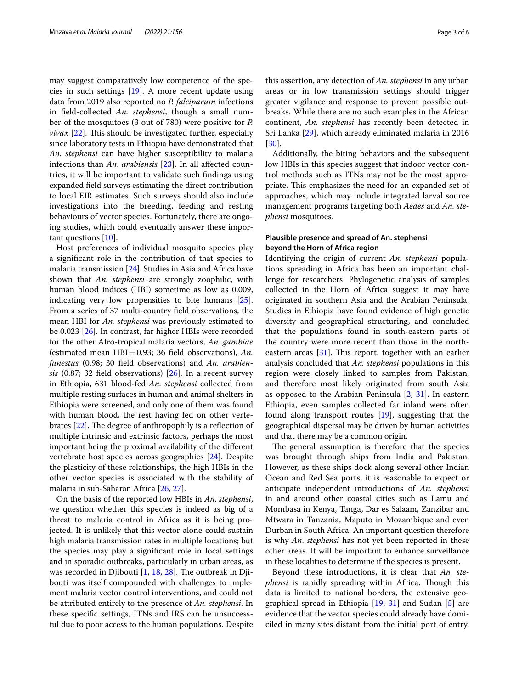may suggest comparatively low competence of the species in such settings [\[19](#page-5-4)]. A more recent update using data from 2019 also reported no *P. falciparum* infections in feld-collected *An. stephensi*, though a small number of the mosquitoes (3 out of 780) were positive for *P. vivax* [[22\]](#page-5-7). This should be investigated further, especially since laboratory tests in Ethiopia have demonstrated that *An. stephensi* can have higher susceptibility to malaria infections than *An*. *arabiensis* [\[23](#page-5-8)]. In all afected countries, it will be important to validate such fndings using expanded feld surveys estimating the direct contribution to local EIR estimates. Such surveys should also include investigations into the breeding, feeding and resting behaviours of vector species. Fortunately, there are ongoing studies, which could eventually answer these important questions [\[10\]](#page-4-9).

Host preferences of individual mosquito species play a signifcant role in the contribution of that species to malaria transmission [\[24](#page-5-9)]. Studies in Asia and Africa have shown that *An. stephensi* are strongly zoophilic, with human blood indices (HBI) sometime as low as 0.009, indicating very low propensities to bite humans [\[25](#page-5-10)]. From a series of 37 multi-country feld observations, the mean HBI for *An. stephensi* was previously estimated to be 0.023 [\[26\]](#page-5-11). In contrast, far higher HBIs were recorded for the other Afro-tropical malaria vectors, *An. gambiae* (estimated mean HBI=0.93; 36 feld observations), *An. funestus* (0.98; 30 feld observations) and *An. arabiensis* (0.87; 32 feld observations) [\[26\]](#page-5-11). In a recent survey in Ethiopia, 631 blood-fed *An. stephensi* collected from multiple resting surfaces in human and animal shelters in Ethiopia were screened, and only one of them was found with human blood, the rest having fed on other vertebrates  $[22]$  $[22]$ . The degree of anthropophily is a reflection of multiple intrinsic and extrinsic factors, perhaps the most important being the proximal availability of the diferent vertebrate host species across geographies [[24](#page-5-9)]. Despite the plasticity of these relationships, the high HBIs in the other vector species is associated with the stability of malaria in sub-Saharan Africa [[26,](#page-5-11) [27](#page-5-12)].

On the basis of the reported low HBIs in *An*. *stephensi*, we question whether this species is indeed as big of a threat to malaria control in Africa as it is being projected. It is unlikely that this vector alone could sustain high malaria transmission rates in multiple locations; but the species may play a signifcant role in local settings and in sporadic outbreaks, particularly in urban areas, as was recorded in Djibouti  $[1, 18, 28]$  $[1, 18, 28]$  $[1, 18, 28]$  $[1, 18, 28]$  $[1, 18, 28]$  $[1, 18, 28]$ . The outbreak in Djibouti was itself compounded with challenges to implement malaria vector control interventions, and could not be attributed entirely to the presence of *An. stephensi*. In these specifc settings, ITNs and IRS can be unsuccessful due to poor access to the human populations. Despite

this assertion, any detection of *An. stephensi* in any urban areas or in low transmission settings should trigger greater vigilance and response to prevent possible outbreaks. While there are no such examples in the African continent, *An. stephensi* has recently been detected in Sri Lanka [\[29](#page-5-14)], which already eliminated malaria in 2016 [[30\]](#page-5-15).

Additionally, the biting behaviors and the subsequent low HBIs in this species suggest that indoor vector control methods such as ITNs may not be the most appropriate. This emphasizes the need for an expanded set of approaches, which may include integrated larval source management programs targeting both *Aedes* and *An. stephensi* mosquitoes.

## **Plausible presence and spread of An. stephensi beyond the Horn of Africa region**

Identifying the origin of current *An*. *stephensi* populations spreading in Africa has been an important challenge for researchers. Phylogenetic analysis of samples collected in the Horn of Africa suggest it may have originated in southern Asia and the Arabian Peninsula. Studies in Ethiopia have found evidence of high genetic diversity and geographical structuring, and concluded that the populations found in south-eastern parts of the country were more recent than those in the northeastern areas  $[31]$  $[31]$ . This report, together with an earlier analysis concluded that *An. stephensi* populations in this region were closely linked to samples from Pakistan, and therefore most likely originated from south Asia as opposed to the Arabian Peninsula [[2,](#page-4-1) [31](#page-5-16)]. In eastern Ethiopia, even samples collected far inland were often found along transport routes [\[19\]](#page-5-4), suggesting that the geographical dispersal may be driven by human activities and that there may be a common origin.

The general assumption is therefore that the species was brought through ships from India and Pakistan. However, as these ships dock along several other Indian Ocean and Red Sea ports, it is reasonable to expect or anticipate independent introductions of *An. stephensi* in and around other coastal cities such as Lamu and Mombasa in Kenya, Tanga, Dar es Salaam, Zanzibar and Mtwara in Tanzania, Maputo in Mozambique and even Durban in South Africa. An important question therefore is why *An*. *stephensi* has not yet been reported in these other areas. It will be important to enhance surveillance in these localities to determine if the species is present.

Beyond these introductions, it is clear that *An. stephensi* is rapidly spreading within Africa. Though this data is limited to national borders, the extensive geographical spread in Ethiopia [\[19,](#page-5-4) [31\]](#page-5-16) and Sudan [\[5](#page-4-4)] are evidence that the vector species could already have domiciled in many sites distant from the initial port of entry.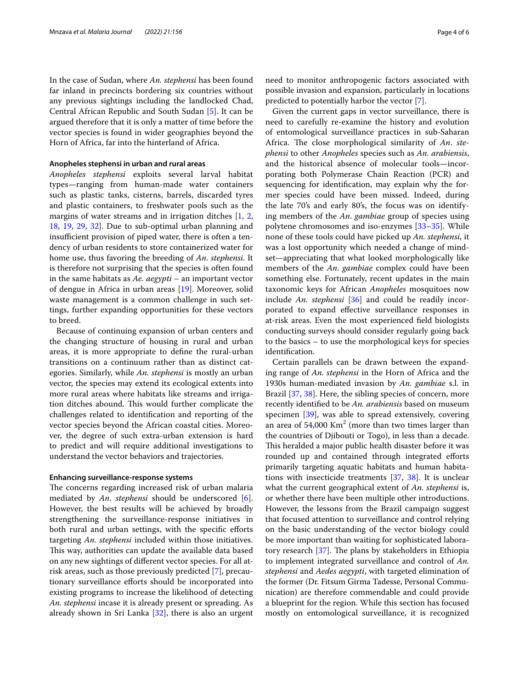In the case of Sudan, where *An. stephensi* has been found far inland in precincts bordering six countries without any previous sightings including the landlocked Chad, Central African Republic and South Sudan [[5](#page-4-4)]. It can be argued therefore that it is only a matter of time before the vector species is found in wider geographies beyond the Horn of Africa, far into the hinterland of Africa.

## **Anopheles stephensi in urban and rural areas**

*Anopheles stephensi* exploits several larval habitat types—ranging from human-made water containers such as plastic tanks, cisterns, barrels, discarded tyres and plastic containers, to freshwater pools such as the margins of water streams and in irrigation ditches [[1,](#page-4-0) [2](#page-4-1), [18,](#page-5-3) [19](#page-5-4), [29,](#page-5-14) [32](#page-5-17)]. Due to sub-optimal urban planning and insufficient provision of piped water, there is often a tendency of urban residents to store containerized water for home use, thus favoring the breeding of *An*. *stephensi*. It is therefore not surprising that the species is often found in the same habitats as *Ae. aegypti* – an important vector of dengue in Africa in urban areas [\[19](#page-5-4)]. Moreover, solid waste management is a common challenge in such settings, further expanding opportunities for these vectors to breed.

Because of continuing expansion of urban centers and the changing structure of housing in rural and urban areas, it is more appropriate to defne the rural-urban transitions on a continuum rather than as distinct categories. Similarly, while *An. stephensi* is mostly an urban vector, the species may extend its ecological extents into more rural areas where habitats like streams and irrigation ditches abound. This would further complicate the challenges related to identifcation and reporting of the vector species beyond the African coastal cities. Moreover, the degree of such extra-urban extension is hard to predict and will require additional investigations to understand the vector behaviors and trajectories.

## **Enhancing surveillance‑response systems**

The concerns regarding increased risk of urban malaria mediated by *An*. *stephensi* should be underscored [\[6](#page-4-5)]. However, the best results will be achieved by broadly strengthening the surveillance-response initiatives in both rural and urban settings, with the specifc eforts targeting *An. stephensi* included within those initiatives. This way, authorities can update the available data based on any new sightings of diferent vector species. For all atrisk areas, such as those previously predicted [\[7](#page-4-6)], precautionary surveillance eforts should be incorporated into existing programs to increase the likelihood of detecting *An. stephensi* incase it is already present or spreading. As already shown in Sri Lanka [[32\]](#page-5-17), there is also an urgent need to monitor anthropogenic factors associated with possible invasion and expansion, particularly in locations predicted to potentially harbor the vector [\[7](#page-4-6)].

Given the current gaps in vector surveillance, there is need to carefully re-examine the history and evolution of entomological surveillance practices in sub-Saharan Africa. The close morphological similarity of An. ste*phensi* to other *Anopheles* species such as *An. arabiensis*, and the historical absence of molecular tools—incorporating both Polymerase Chain Reaction (PCR) and sequencing for identifcation, may explain why the former species could have been missed. Indeed, during the late 70's and early 80's, the focus was on identifying members of the *An*. *gambiae* group of species using polytene chromosomes and iso-enzymes [\[33](#page-5-18)[–35\]](#page-5-19). While none of these tools could have picked up *An. stephensi*, it was a lost opportunity which needed a change of mindset—appreciating that what looked morphologically like members of the *An*. *gambiae* complex could have been something else. Fortunately, recent updates in the main taxonomic keys for African *Anopheles* mosquitoes now include *An. stephensi* [[36\]](#page-5-20) and could be readily incorporated to expand efective surveillance responses in at-risk areas. Even the most experienced feld biologists conducting surveys should consider regularly going back to the basics – to use the morphological keys for species identifcation.

Certain parallels can be drawn between the expanding range of *An. stephensi* in the Horn of Africa and the 1930s human-mediated invasion by *An. gambiae* s.l. in Brazil [\[37](#page-5-21), [38\]](#page-5-22). Here, the sibling species of concern, more recently identifed to be *An. arabiensis* based on museum specimen [[39\]](#page-5-23), was able to spread extensively, covering an area of 54,000  $\mathrm{Km}^2$  (more than two times larger than the countries of Djibouti or Togo), in less than a decade. This heralded a major public health disaster before it was rounded up and contained through integrated efforts primarily targeting aquatic habitats and human habitations with insecticide treatments [\[37](#page-5-21), [38](#page-5-22)]. It is unclear what the current geographical extent of *An. stephensi* is, or whether there have been multiple other introductions. However, the lessons from the Brazil campaign suggest that focused attention to surveillance and control relying on the basic understanding of the vector biology could be more important than waiting for sophisticated laboratory research  $[37]$  $[37]$ . The plans by stakeholders in Ethiopia to implement integrated surveillance and control of *An. stephensi* and *Aedes aegypti*, with targeted elimination of the former (Dr. Fitsum Girma Tadesse, Personal Communication) are therefore commendable and could provide a blueprint for the region. While this section has focused mostly on entomological surveillance, it is recognized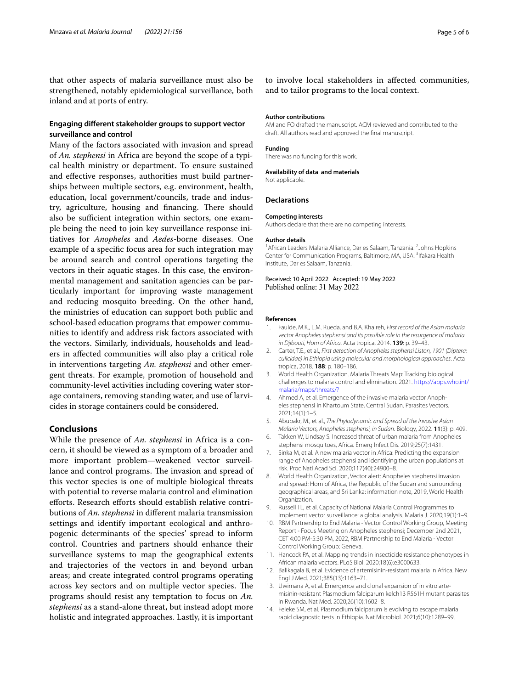that other aspects of malaria surveillance must also be strengthened, notably epidemiological surveillance, both inland and at ports of entry.

## **Engaging diferent stakeholder groups to support vector surveillance and control**

Many of the factors associated with invasion and spread of *An. stephensi* in Africa are beyond the scope of a typical health ministry or department. To ensure sustained and efective responses, authorities must build partnerships between multiple sectors, e.g. environment, health, education, local government/councils, trade and industry, agriculture, housing and financing. There should also be sufficient integration within sectors, one example being the need to join key surveillance response initiatives for *Anopheles* and *Aedes*-borne diseases. One example of a specifc focus area for such integration may be around search and control operations targeting the vectors in their aquatic stages. In this case, the environmental management and sanitation agencies can be particularly important for improving waste management and reducing mosquito breeding. On the other hand, the ministries of education can support both public and school-based education programs that empower communities to identify and address risk factors associated with the vectors. Similarly, individuals, households and leaders in afected communities will also play a critical role in interventions targeting *An. stephensi* and other emergent threats. For example, promotion of household and community-level activities including covering water storage containers, removing standing water, and use of larvicides in storage containers could be considered.

## **Conclusions**

While the presence of *An. stephensi* in Africa is a concern, it should be viewed as a symptom of a broader and more important problem—weakened vector surveillance and control programs. The invasion and spread of this vector species is one of multiple biological threats with potential to reverse malaria control and elimination efforts. Research efforts should establish relative contributions of *An. stephensi* in diferent malaria transmission settings and identify important ecological and anthropogenic determinants of the species' spread to inform control. Countries and partners should enhance their surveillance systems to map the geographical extents and trajectories of the vectors in and beyond urban areas; and create integrated control programs operating across key sectors and on multiple vector species. The programs should resist any temptation to focus on *An. stephensi* as a stand-alone threat, but instead adopt more holistic and integrated approaches. Lastly, it is important

to involve local stakeholders in afected communities, and to tailor programs to the local context.

## **Author contributions**

AM and FO drafted the manuscript. ACM reviewed and contributed to the draft. All authors read and approved the fnal manuscript.

#### **Funding**

There was no funding for this work.

#### **Availability of data and materials**

Not applicable.

#### **Declarations**

#### **Competing interests**

Authors declare that there are no competing interests.

#### **Author details**

<sup>1</sup> African Leaders Malaria Alliance, Dar es Salaam, Tanzania. <sup>2</sup> Johns Hopkins Center for Communication Programs, Baltimore, MA, USA.<sup>3</sup> Ifakara Health Institute, Dar es Salaam, Tanzania.

Received: 10 April 2022 Accepted: 19 May 2022 Published online: 31 May 2022

#### **References**

- <span id="page-4-0"></span>1. Faulde, M.K., L.M. Rueda, and B.A. Khaireh, *First record of the Asian malaria vector Anopheles stephensi and its possible role in the resurgence of malaria in Djibouti, Horn of Africa*. Acta tropica, 2014. **139**: p. 39–43.
- <span id="page-4-1"></span>2. Carter, T.E., et al., *First detection of Anopheles stephensi Liston, 1901 (Diptera: culicidae) in Ethiopia using molecular and morphological approaches*. Acta tropica, 2018. **188**: p. 180–186.
- <span id="page-4-2"></span>3. World Health Organization. Malaria Threats Map: Tracking biological challenges to malaria control and elimination. 2021. [https://apps.who.int/](https://apps.who.int/malaria/maps/threats/?) [malaria/maps/threats/?](https://apps.who.int/malaria/maps/threats/?)
- <span id="page-4-3"></span>4. Ahmed A, et al. Emergence of the invasive malaria vector Anopheles stephensi in Khartoum State, Central Sudan. Parasites Vectors. 2021;14(1):1–5.
- <span id="page-4-4"></span>5. Abubakr, M., et al., *The Phylodynamic and Spread of the Invasive Asian Malaria Vectors, Anopheles stephensi, in Sudan*. Biology, 2022. **11**(3): p. 409.
- <span id="page-4-5"></span>6. Takken W, Lindsay S. Increased threat of urban malaria from Anopheles stephensi mosquitoes, Africa. Emerg Infect Dis. 2019;25(7):1431.
- <span id="page-4-6"></span>7. Sinka M, et al. A new malaria vector in Africa: Predicting the expansion range of Anopheles stephensi and identifying the urban populations at risk. Proc Natl Acad Sci. 2020;117(40):24900–8.
- <span id="page-4-7"></span>8. World Health Organization, Vector alert: Anopheles stephensi invasion and spread: Horn of Africa, the Republic of the Sudan and surrounding geographical areas, and Sri Lanka: information note, 2019, World Health Organization.
- <span id="page-4-8"></span>9. Russell TL, et al. Capacity of National Malaria Control Programmes to implement vector surveillance: a global analysis. Malaria J. 2020;19(1):1–9.
- <span id="page-4-9"></span>10. RBM Partnership to End Malaria - Vector Control Working Group, Meeting Report - Focus Meeting on Anopheles stephensi; December 2nd 2021, CET 4:00 PM-5:30 PM, 2022, RBM Partnership to End Malaria - Vector Control Working Group: Geneva.
- <span id="page-4-10"></span>11. Hancock PA, et al. Mapping trends in insecticide resistance phenotypes in African malaria vectors. PLoS Biol. 2020;18(6):e3000633.
- <span id="page-4-11"></span>12. Balikagala B, et al. Evidence of artemisinin-resistant malaria in Africa. New Engl J Med. 2021;385(13):1163–71.
- <span id="page-4-12"></span>13. Uwimana A, et al. Emergence and clonal expansion of in vitro artemisinin-resistant Plasmodium falciparum kelch13 R561H mutant parasites in Rwanda. Nat Med. 2020;26(10):1602–8.
- <span id="page-4-13"></span>14. Feleke SM, et al. Plasmodium falciparum is evolving to escape malaria rapid diagnostic tests in Ethiopia. Nat Microbiol. 2021;6(10):1289–99.